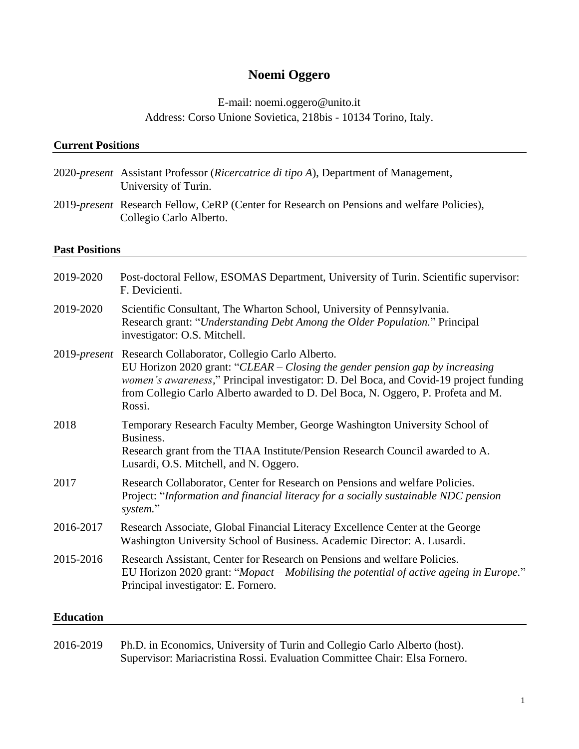# **Noemi Oggero**

# E-mail: noemi.oggero@unito.it Address: Corso Unione Sovietica, 218bis - 10134 Torino, Italy.

# **Current Positions** 2020-*present* Assistant Professor (*Ricercatrice di tipo A*), Department of Management, University of Turin. 2019-*present* Research Fellow, CeRP (Center for Research on Pensions and welfare Policies), Collegio Carlo Alberto. **Past Positions** 2019-2020 Post-doctoral Fellow, ESOMAS Department, University of Turin. Scientific supervisor: F. Devicienti. 2019-2020 Scientific Consultant, The Wharton School, University of Pennsylvania. Research grant: "*Understanding Debt Among the Older Population.*" Principal investigator: O.S. Mitchell. 2019-*present* Research Collaborator, Collegio Carlo Alberto. EU Horizon 2020 grant: "*CLEAR – Closing the gender pension gap by increasing women's awareness,*" Principal investigator: D. Del Boca, and Covid-19 project funding from Collegio Carlo Alberto awarded to D. Del Boca, N. Oggero, P. Profeta and M. Rossi. 2018 Temporary Research Faculty Member, George Washington University School of Business. Research grant from the TIAA Institute/Pension Research Council awarded to A. Lusardi, O.S. Mitchell, and N. Oggero. 2017 Research Collaborator, Center for Research on Pensions and welfare Policies. Project: "*Information and financial literacy for a socially sustainable NDC pension system.*" 2016-2017 Research Associate, Global Financial Literacy Excellence Center at the George Washington University School of Business. Academic Director: A. Lusardi. 2015-2016 Research Assistant, Center for Research on Pensions and welfare Policies. EU Horizon 2020 grant: "*Mopact – Mobilising the potential of active ageing in Europe.*" Principal investigator: E. Fornero. **Education**

2016-2019 Ph.D. in Economics, University of Turin and Collegio Carlo Alberto (host). Supervisor: Mariacristina Rossi. Evaluation Committee Chair: Elsa Fornero.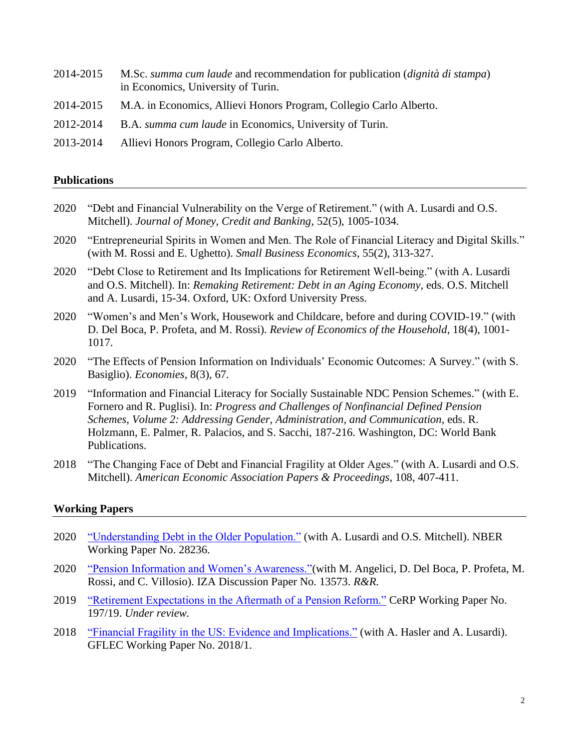- 2014-2015 M.Sc. *summa cum laude* and recommendation for publication (*dignità di stampa*) in Economics, University of Turin.
- 2014-2015 M.A. in Economics, Allievi Honors Program, Collegio Carlo Alberto.
- 2012-2014 B.A. *summa cum laude* in Economics, University of Turin.
- 2013-2014 Allievi Honors Program, Collegio Carlo Alberto.

#### **Publications**

- 2020 "Debt and Financial Vulnerability on the Verge of Retirement." (with A. Lusardi and O.S. Mitchell). *Journal of Money, Credit and Banking*, 52(5), 1005-1034.
- 2020 "Entrepreneurial Spirits in Women and Men. The Role of Financial Literacy and Digital Skills." (with M. Rossi and E. Ughetto). *Small Business Economics*, 55(2), 313-327.
- 2020 "Debt Close to Retirement and Its Implications for Retirement Well-being." (with A. Lusardi and O.S. Mitchell). In: *Remaking Retirement: Debt in an Aging Economy*, eds. O.S. Mitchell and A. Lusardi, 15-34. Oxford, UK: Oxford University Press.
- 2020 "Women's and Men's Work, Housework and Childcare, before and during COVID-19." (with D. Del Boca, P. Profeta, and M. Rossi). *Review of Economics of the Household*, 18(4), 1001- 1017.
- 2020 "The Effects of Pension Information on Individuals' Economic Outcomes: A Survey." (with S. Basiglio). *Economies*, 8(3), 67.
- 2019 "Information and Financial Literacy for Socially Sustainable NDC Pension Schemes." (with E. Fornero and R. Puglisi). In: *Progress and Challenges of Nonfinancial Defined Pension Schemes, Volume 2: Addressing Gender, Administration, and Communication*, eds. R. Holzmann, E. Palmer, R. Palacios, and S. Sacchi, 187-216. Washington, DC: World Bank Publications.
- 2018 "The Changing Face of Debt and Financial Fragility at Older Ages." (with A. Lusardi and O.S. Mitchell). *American Economic Association Papers & Proceedings*, 108, 407-411.

## **Working Papers**

- 2020 ["Understanding Debt in the Older Population."](https://www.nber.org/system/files/working_papers/w28236/w28236.pdf) (with A. Lusardi and O.S. Mitchell). NBER Working Paper No. 28236.
- 2020 ["Pension Information and Women's Awareness."\(](http://ftp.iza.org/dp13573.pdf)with M. Angelici, D. Del Boca, P. Profeta, M. Rossi, and C. Villosio). IZA Discussion Paper No. 13573. *R&R.*
- 2019 ["Retirement Expectations in the Aftermath of a Pension Reform."](https://www.cerp.carloalberto.org/wp-content/uploads/2019/11/WP_197.pdf) CeRP Working Paper No. 197/19. *Under review.*
- 2018 ["Financial Fragility in the US: Evidence and Implications."](https://gflec.org/wp-content/uploads/2018/04/Financial-Fragility-in-the-US.pdf?x98192) (with A. Hasler and A. Lusardi). GFLEC Working Paper No. 2018/1.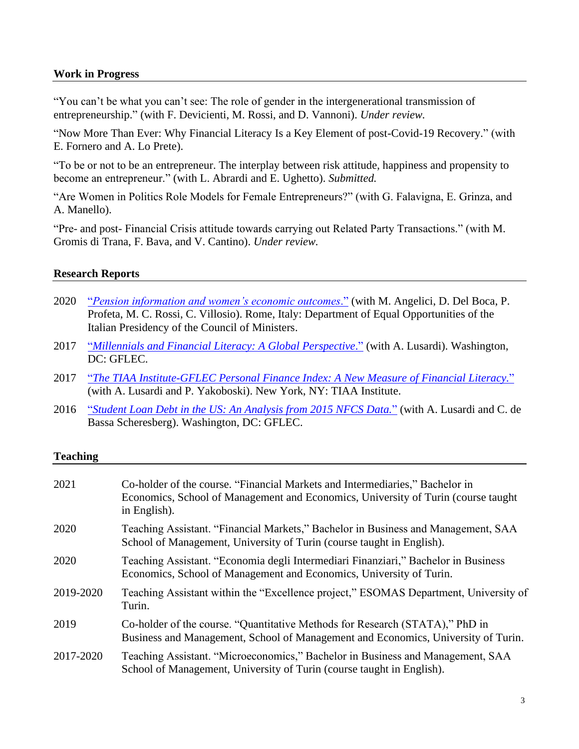### **Work in Progress**

"You can't be what you can't see: The role of gender in the intergenerational transmission of entrepreneurship." (with F. Devicienti, M. Rossi, and D. Vannoni). *Under review.*

"Now More Than Ever: Why Financial Literacy Is a Key Element of post-Covid-19 Recovery." (with E. Fornero and A. Lo Prete).

"To be or not to be an entrepreneur. The interplay between risk attitude, happiness and propensity to become an entrepreneur." (with L. Abrardi and E. Ughetto). *Submitted.*

"Are Women in Politics Role Models for Female Entrepreneurs?" (with G. Falavigna, E. Grinza, and A. Manello).

"Pre- and post- Financial Crisis attitude towards carrying out Related Party Transactions." (with M. Gromis di Trana, F. Bava, and V. Cantino). *Under review.*

#### **Research Reports**

- 2020 "*[Pension information and women's economic outcomes](https://www.carloalberto.org/wp-content/uploads/2020/05/CLEAR-REPORT.pdf)*." (with M. Angelici, D. Del Boca, P. Profeta, M. C. Rossi, C. Villosio). Rome, Italy: Department of Equal Opportunities of the Italian Presidency of the Council of Ministers.
- 2017 "*[Millennials and Financial Literacy: A Global Perspective](http://gflec.org/wp-content/uploads/2017/07/Millennials-and-Financial-Literacy-Research-Paper.pdf?x87657).*" (with A. Lusardi). Washington, DC: GFLEC.
- 2017 "*[The TIAA Institute-GFLEC Personal Finance Index: A New Measure of Financial Literacy.](http://gflec.org/wp-content/uploads/2017/04/TIAA_GFLEC_Report_PFinIndex_final2.pdf?x87657)*" (with A. Lusardi and P. Yakoboski). New York, NY: TIAA Institute.
- 2016 "*[Student Loan Debt in the US: An Analysis from 2015 NFCS Data.](http://gflec.org/wp-content/uploads/2016/11/GFLEC-Brief-Student-loan-debt-1.pdf?x87657)*" (with A. Lusardi and C. de Bassa Scheresberg). Washington, DC: GFLEC.

#### **Teaching**

| 2021      | Co-holder of the course. "Financial Markets and Intermediaries," Bachelor in<br>Economics, School of Management and Economics, University of Turin (course taught)<br>in English). |
|-----------|------------------------------------------------------------------------------------------------------------------------------------------------------------------------------------|
| 2020      | Teaching Assistant. "Financial Markets," Bachelor in Business and Management, SAA<br>School of Management, University of Turin (course taught in English).                         |
| 2020      | Teaching Assistant. "Economia degli Intermediari Finanziari," Bachelor in Business<br>Economics, School of Management and Economics, University of Turin.                          |
| 2019-2020 | Teaching Assistant within the "Excellence project," ESOMAS Department, University of<br>Turin.                                                                                     |
| 2019      | Co-holder of the course. "Quantitative Methods for Research (STATA)," PhD in<br>Business and Management, School of Management and Economics, University of Turin.                  |
| 2017-2020 | Teaching Assistant. "Microeconomics," Bachelor in Business and Management, SAA<br>School of Management, University of Turin (course taught in English).                            |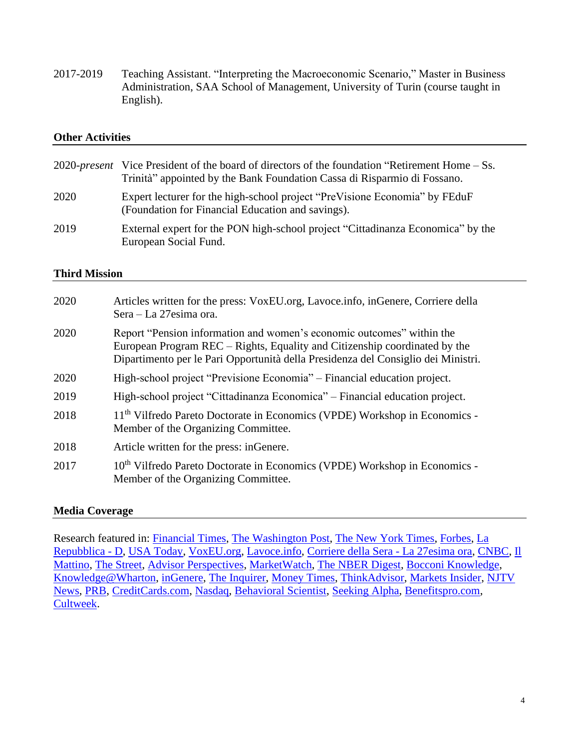2017-2019 Teaching Assistant. "Interpreting the Macroeconomic Scenario," Master in Business Administration, SAA School of Management, University of Turin (course taught in English).

## **Other Activities**

|      | 2020- <i>present</i> Vice President of the board of directors of the foundation "Retirement Home – Ss.<br>Trinità" appointed by the Bank Foundation Cassa di Risparmio di Fossano. |
|------|------------------------------------------------------------------------------------------------------------------------------------------------------------------------------------|
| 2020 | Expert lecturer for the high-school project "PreVisione Economia" by FEduF<br>(Foundation for Financial Education and savings).                                                    |
| 2019 | External expert for the PON high-school project "Cittadinanza Economica" by the<br>European Social Fund.                                                                           |

## **Third Mission**

| 2020 | Articles written for the press: VoxEU.org, Lavoce.info, inGenere, Corriere della<br>Sera – La 27esima ora.                                                                                                                               |
|------|------------------------------------------------------------------------------------------------------------------------------------------------------------------------------------------------------------------------------------------|
| 2020 | Report "Pension information and women's economic outcomes" within the<br>European Program REC – Rights, Equality and Citizenship coordinated by the<br>Dipartimento per le Pari Opportunità della Presidenza del Consiglio dei Ministri. |
| 2020 | High-school project "Previsione Economia" – Financial education project.                                                                                                                                                                 |
| 2019 | High-school project "Cittadinanza Economica" – Financial education project.                                                                                                                                                              |
| 2018 | 11 <sup>th</sup> Vilfredo Pareto Doctorate in Economics (VPDE) Workshop in Economics -<br>Member of the Organizing Committee.                                                                                                            |
| 2018 | Article written for the press: inGenere.                                                                                                                                                                                                 |
| 2017 | 10 <sup>th</sup> Vilfredo Pareto Doctorate in Economics (VPDE) Workshop in Economics -<br>Member of the Organizing Committee.                                                                                                            |

# **Media Coverage**

Research featured in: [Financial Times,](https://www.ft.com/content/02ed48f1-89d0-4953-96eb-443f866d0c3c) [The Washington Post,](https://www.washingtonpost.com/express/wp/2017/04/11/managing-finances-might-be-graduate-students-toughest-test/?noredirect=on&utm_term=.2e1350b927c7) [The New York Times,](https://www.nytimes.com/2017/01/11/business/smallbusiness/for-young-entrepreneurs-college-debts-can-snuff-out-start-up-hopes.html?_r=1) [Forbes,](https://www.forbes.com/sites/elizabethharris/2016/11/14/regrets-high-among-student-borrowers-new-data-says/#5350208d503b) [La](https://d.repubblica.it/life/2018/06/07/news/donne_e_denaro_quanto_ne_sanno_i_giovani_di_finanza_e_come_influisce_sul_divario_di_genere_-4007234/)  [Repubblica -](https://d.repubblica.it/life/2018/06/07/news/donne_e_denaro_quanto_ne_sanno_i_giovani_di_finanza_e_come_influisce_sul_divario_di_genere_-4007234/) D, [USA Today,](https://eu.usatoday.com/story/money/columnist/powell/2018/01/12/robert-powell-how-deal-debt-retirement/988307001/) [VoxEU.org,](https://voxeu.org/article/women-s-work-housework-and-childcare-and-during-covid-19) [Lavoce.info,](https://www.lavoce.info/archives/66645/prima-durante-e-dopo-covid-19-disuguaglianza-in-famiglia/) [Corriere della Sera -](https://27esimaora.corriere.it/20_maggio_12/prima-il-covid-19-sempre-diseguali-383735fa-93d1-11ea-9606-c84daa18e54a.shtml) La 27esima ora, [CNBC,](https://www.cnbc.com/2019/06/25/its-time-for-colleges-to-require-mandated-financial-literacy-courses.html) [Il](https://www.ilmattino.it/primopiano/cronaca/lockdown_casa_famiglia_donne_lavoratrici_squilibri_lavoro_in_piu-5235055.html)  [Mattino,](https://www.ilmattino.it/primopiano/cronaca/lockdown_casa_famiglia_donne_lavoratrici_squilibri_lavoro_in_piu-5235055.html) [The Street,](https://www.thestreet.com/retirement-daily/news-commentary/financial-knowledge-can-limit-debt-exposure-at-older-ages-and-improve-retirement-planning) [Advisor Perspectives,](https://www.advisorperspectives.com/articles/2020/03/02/the-debt-burden-facing-retirees) [MarketWatch,](https://www.marketwatch.com/story/why-debt-can-be-so-dangerous-in-retirement-2017-12-14) [The NBER Digest,](https://www.nber.org/digest/nov17/w23664.shtml) [Bocconi Knowledge,](https://www.knowledge.unibocconi.it/notizia.php?idArt=22111) [Knowledge@Wharton,](https://knowledge.wharton.upenn.edu/article/great-recession-american-dream/) [inGenere,](http://www.ingenere.it/articoli/educazione-finanziaria-millennial) [The Inquirer,](https://www.philly.com/philly/business/boomers-retirement-debt-wharton-olivia-mitchell-20171228.html) [Money Times,](https://moneytimes.com.br/planejamento-financeiro-como-saber-se-voce-precisa-deste-servico/) [ThinkAdvisor,](https://www.thinkadvisor.com/2017/11/24/more-americans-entering-retirement-with-debt-nber/?slreturn=20190408105453) [Markets Insider,](https://markets.businessinsider.com/news/stocks/new-personal-finance-index-identifies-gaps-in-financial-literacy-among-american-adults-1001859116) [NJTV](https://www.njtvonline.org/news/video/new-jersey-ranks-ninth-student-loan-debt/)  [News,](https://www.njtvonline.org/news/video/new-jersey-ranks-ninth-student-loan-debt/) [PRB,](https://www.prb.org/will-more-baby-boomers-delay-retirement/) [CreditCards.com,](https://www.creditcards.com/credit-card-news/infographic-debt-before-retirement-increasing.php) [Nasdaq,](https://www.nasdaq.com/article/carrying-debt-while-approaching-retirement-on-the-rise-cm908352) [Behavioral Scientist,](https://behavioralscientist.org/five-not-eight-round-number-bias-can-reduce-nest-egg/) [Seeking Alpha,](https://seekingalpha.com/article/4165208-pre-retirees-underfunded-overleveraged-financial-advisors-daily-digest) [Benefitspro.com,](https://www.benefitspro.com/2017/11/28/more-americans-are-entering-retirement-with-debt-n/) [Cultweek.](https://www.cultweek.com/pandemia-cura-siccom-che-siamo-donne/)